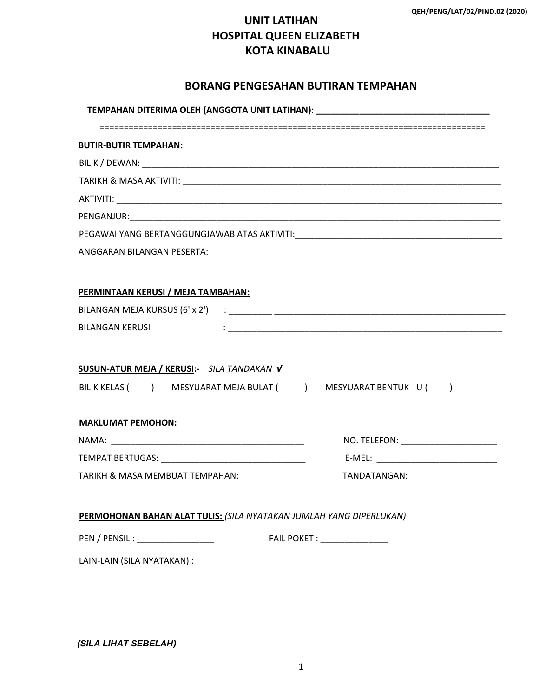## **UNIT LATIHAN HOSPITAL QUEEN ELIZABETH KOTA KINABALU**

## **BORANG PENGESAHAN BUTIRAN TEMPAHAN**

| <b>BUTIR-BUTIR TEMPAHAN:</b>                                                                        |                                                                     |
|-----------------------------------------------------------------------------------------------------|---------------------------------------------------------------------|
|                                                                                                     |                                                                     |
|                                                                                                     |                                                                     |
|                                                                                                     |                                                                     |
|                                                                                                     |                                                                     |
|                                                                                                     |                                                                     |
|                                                                                                     |                                                                     |
|                                                                                                     |                                                                     |
| PERMINTAAN KERUSI / MEJA TAMBAHAN:                                                                  |                                                                     |
|                                                                                                     |                                                                     |
| <b>BILANGAN KERUSI</b>                                                                              |                                                                     |
|                                                                                                     |                                                                     |
|                                                                                                     |                                                                     |
|                                                                                                     |                                                                     |
|                                                                                                     | BILIK KELAS () MESYUARAT MEJA BULAT () MESYUARAT BENTUK - U ()      |
|                                                                                                     |                                                                     |
| <b>MAKLUMAT PEMOHON:</b>                                                                            |                                                                     |
|                                                                                                     |                                                                     |
|                                                                                                     | E-MEL: _____________________________                                |
| SUSUN-ATUR MEJA / KERUSI:- SILA TANDAKAN V                                                          | TANDATANGAN:____________________                                    |
|                                                                                                     |                                                                     |
|                                                                                                     | PERMOHONAN BAHAN ALAT TULIS: (SILA NYATAKAN JUMLAH YANG DIPERLUKAN) |
| TARIKH & MASA MEMBUAT TEMPAHAN: NARIKH & MASA MEMBUAT TEMPAHAN:<br>PEN / PENSIL : _________________ | FAIL POKET : ________________                                       |

 *(SILA LIHAT SEBELAH)*